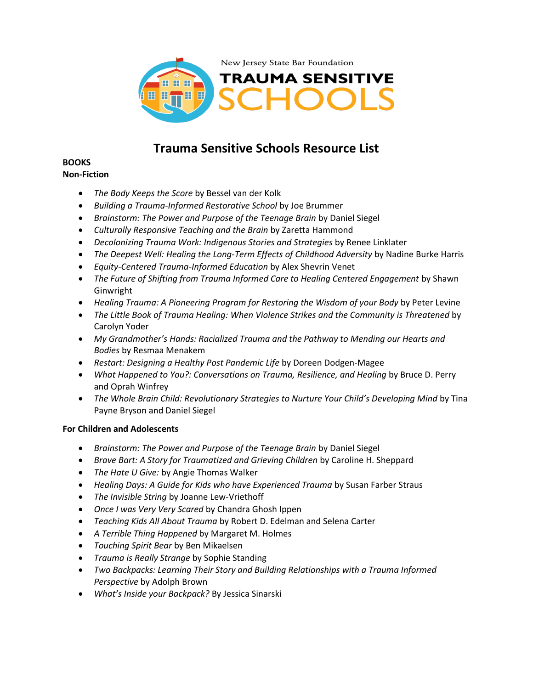

# **Trauma Sensitive Schools Resource List**

#### **BOOKS Non-Fiction**

- *The Body Keeps the Score* by Bessel van der Kolk
- *Building a Trauma-Informed Restorative School* by Joe Brummer
- *Brainstorm: The Power and Purpose of the Teenage Brain* by Daniel Siegel
- *Culturally Responsive Teaching and the Brain* by Zaretta Hammond
- *Decolonizing Trauma Work: Indigenous Stories and Strategies* by Renee Linklater
- *The Deepest Well: Healing the Long-Term Effects of Childhood Adversity* by Nadine Burke Harris
- *Equity-Centered Trauma-Informed Education* by Alex Shevrin Venet
- *The Future of Shifting from Trauma Informed Care to Healing Centered Engagement* by Shawn Ginwright
- Healing Trauma: A Pioneering Program for Restoring the Wisdom of your Body by Peter Levine
- *The Little Book of Trauma Healing: When Violence Strikes and the Community is Threatened* by Carolyn Yoder
- *My Grandmother's Hands: Racialized Trauma and the Pathway to Mending our Hearts and Bodies* by Resmaa Menakem
- *Restart: Designing a Healthy Post Pandemic Life* by Doreen Dodgen-Magee
- *What Happened to You?: Conversations on Trauma, Resilience, and Healing by Bruce D. Perry* and Oprah Winfrey
- *The Whole Brain Child: Revolutionary Strategies to Nurture Your Child's Developing Mind* by Tina Payne Bryson and Daniel Siegel

## **For Children and Adolescents**

- *Brainstorm: The Power and Purpose of the Teenage Brain* by Daniel Siegel
- *Brave Bart: A Story for Traumatized and Grieving Children by Caroline H. Sheppard*
- *The Hate U Give:* by Angie Thomas Walker
- *Healing Days: A Guide for Kids who have Experienced Trauma by Susan Farber Straus*
- *The Invisible String* by Joanne Lew-Vriethoff
- *Once I was Very Very Scared* by Chandra Ghosh Ippen
- *Teaching Kids All About Trauma* by Robert D. Edelman and Selena Carter
- *A Terrible Thing Happened* by Margaret M. Holmes
- *Touching Spirit Bear* by Ben Mikaelsen
- *Trauma is Really Strange* by Sophie Standing
- *Two Backpacks: Learning Their Story and Building Relationships with a Trauma Informed Perspective* by Adolph Brown
- *What's Inside your Backpack?* By Jessica Sinarski